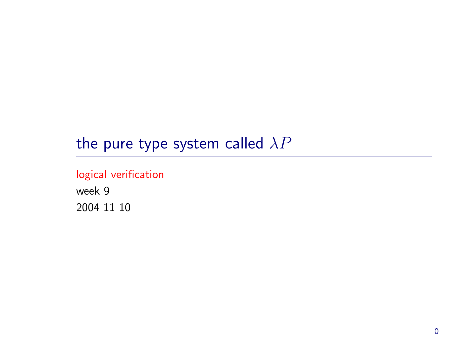# the pure type system called  $\lambda P$

## logical verification

week 9 2004 11 10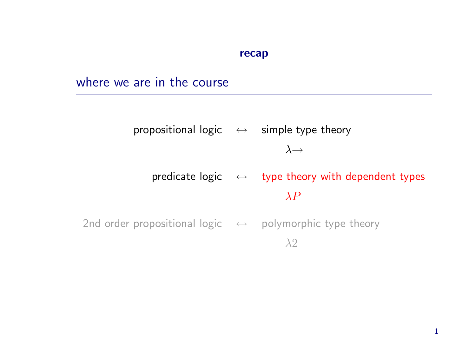#### recap

# where we are in the course

propositional logic  $\leftrightarrow$  simple type theory  $\lambda \rightarrow$ predicate logic  $\leftrightarrow$  type theory with dependent types  $\lambda P$ 

2nd order propositional logic  $\leftrightarrow$  polymorphic type theory λ2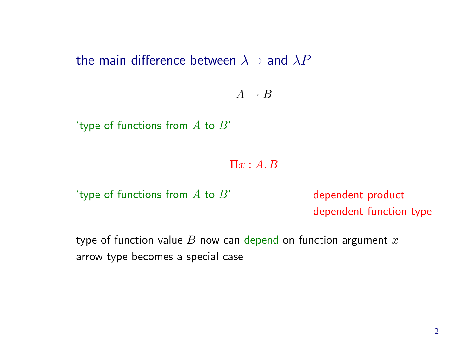the main difference between  $\lambda \rightarrow$  and  $\lambda P$ 

 $A \rightarrow B$ 

'type of functions from  $A$  to  $B'$ 

 $\Pi x:A.B$ 

'type of functions from  $A$  to  $B'$  dependent product

dependent function type

type of function value  $B$  now can depend on function argument  $x$ arrow type becomes <sup>a</sup> special case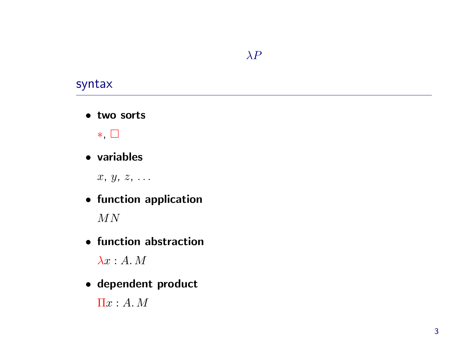#### $\lambda P$

## syntax

• two sorts



#### • variables

 $x, y, z, \ldots$ 

• function application

 $MN$ 

• function abstraction

 $\lambda x:A. M$ 

• dependent product

 $\Pi x:A. M$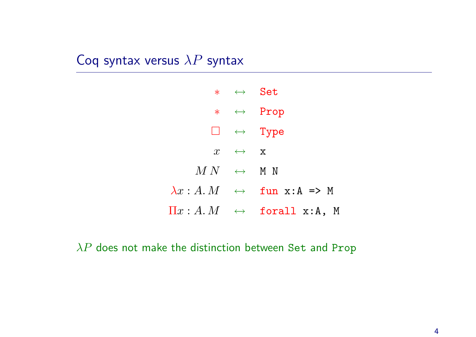# Coq syntax versus  $\lambda P$  syntax

|                                        | $* \leftrightarrow$ Set |                                                                                        |
|----------------------------------------|-------------------------|----------------------------------------------------------------------------------------|
|                                        |                         | $* \leftrightarrow \text{Prop}$                                                        |
|                                        |                         | $\Box \quad \leftrightarrow \quad \text{Type}$                                         |
|                                        | $x \leftrightarrow x$   |                                                                                        |
| $M\,N \quad \leftrightarrow \quad$ M N |                         |                                                                                        |
|                                        |                         | $\lambda x : A. M \leftrightarrow \text{fun } x : A \Rightarrow M$                     |
|                                        |                         | $\Pi x:A.M \quad \leftrightarrow \quad \text{\tt forall}\ \ \text{x:A,}\ \ \textsf{M}$ |

 $\lambda P$  does not make the distinction between Set and Prop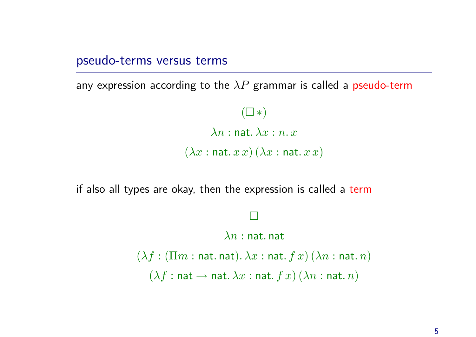pseudo-terms versus terms

any expression according to the  $\lambda P$  grammar is called a pseudo-term

 $(\Box * )$  $\lambda n$  : nat.  $\lambda x$  :  $n_x$  $(\lambda x : \texttt{nat.}~ x x)(\lambda x : \texttt{nat.}~ x x)$ 

if also all types are okay, then the expression is called a term

¤  $\lambda n$  : nat. nat  $(\lambda f : (\Pi m : \text{nat. nat}). \lambda x : \text{nat. } f x) (\lambda n : \text{nat. } n)$  $(\lambda f : \mathsf{nat} \to \mathsf{nat}.\lambda x : \mathsf{nat}. f x)(\lambda n : \mathsf{nat}. n)$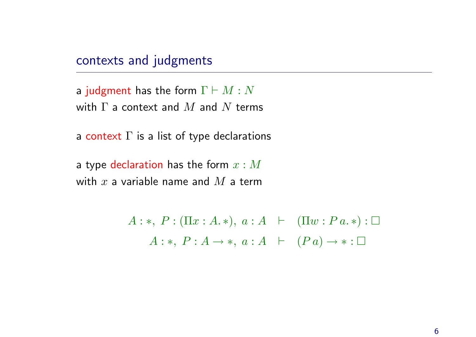#### contexts and judgments

a judgment has the form  $\Gamma \vdash M : N$ with  $\Gamma$  a context and  $M$  and  $N$  terms

a context  $\Gamma$  is a list of type declarations

a type declaration has the form  $x : M$ with  $x$  a variable name and  $M$  a term

> $A : *, P : (\Pi x : A. *), a : A \vdash (\Pi w : P a. *) : \Box$  $A: *, P: A \rightarrow *, a: A \vdash (Pa) \rightarrow * : \Box$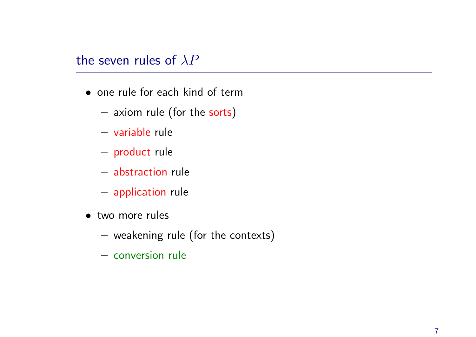# the seven rules of  $\lambda P$

- one rule for each kind of term
	- $-$  axiom rule (for the sorts)
	- variable rule
	- $-$  product rule
	- abstraction rule
	- $-$  application rule
- two more rules
	- $-$  weakening rule (for the contexts)
	- conversion rule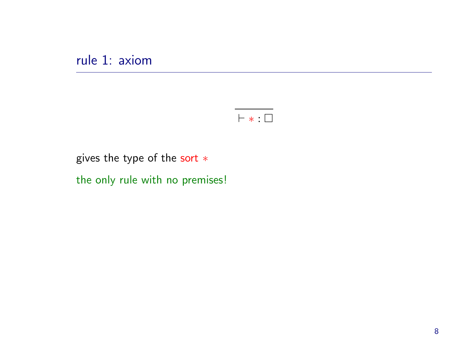rule 1: axiom



gives the type of the sort  $*$ 

the only rule with no premises!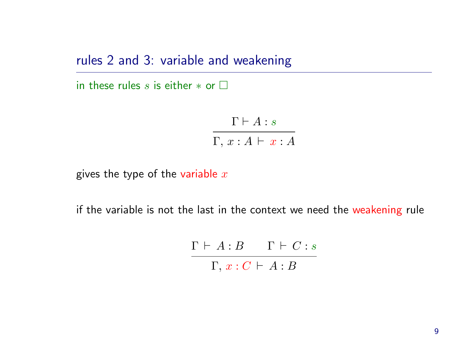rules 2 and 3: variable and weakening

in these rules s is either  $*$  or  $\square$ 

 $\Gamma \vdash A : s$  $\Gamma, x : A \vdash x : A$ 

gives the type of the variable  $x$ 

if the variable is not the last in the context we need the weakening rule

 $\Gamma \vdash A : B$  Γ  $\vdash C : s$  $\Gamma,\, x : C \,\vdash\, A : B$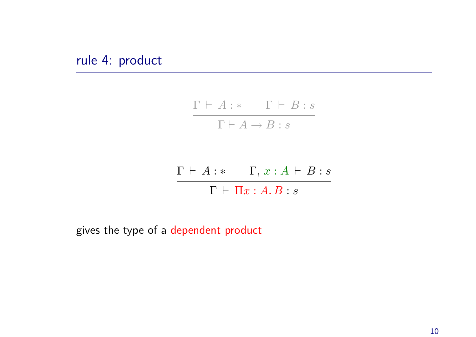rule 4: product

$$
\cfrac{\Gamma \vdash A : * \qquad \Gamma \vdash B : s}{\Gamma \vdash A \rightarrow B : s}
$$

$$
\frac{\Gamma \vdash A : * \quad \Gamma, x : A \vdash B : s}{\Gamma \vdash \Pi x : A.B : s}
$$

gives the type of <sup>a</sup> dependent product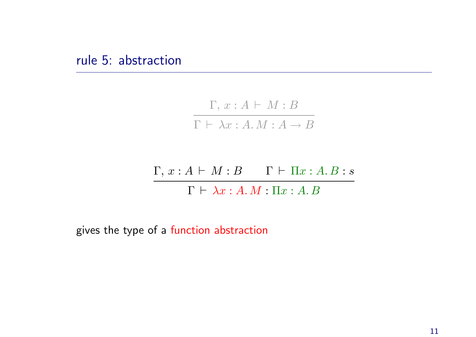$$
\cfrac{\Gamma, x:A \vdash M:B}{\Gamma \vdash \lambda x:A.M:A \to B}
$$

 $\Gamma, x : A \vdash M : B \qquad \Gamma \vdash \Pi x : A.B : s$  $\Gamma \vdash \lambda x : A.M : \Pi x : A.B$ 

gives the type of <sup>a</sup> function abstraction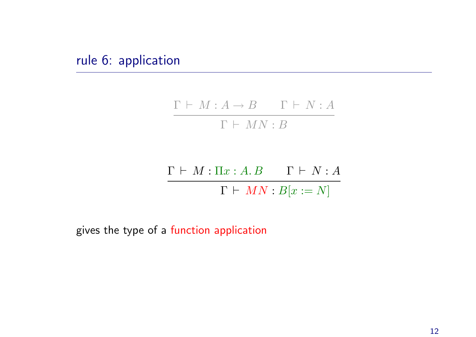rule 6: application

$$
\frac{\Gamma \vdash M : A \to B \qquad \Gamma \vdash N : A}{\Gamma \vdash MN : B}
$$

$$
\frac{\Gamma \vdash M : \Pi x : A.B \qquad \Gamma \vdash N : A}{\Gamma \vdash MN : B[x := N]}
$$

gives the type of <sup>a</sup> function application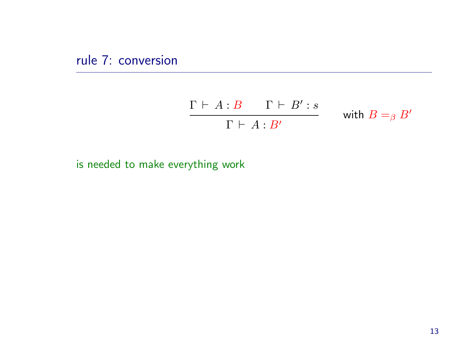rule 7: conversion

$$
\frac{\Gamma \vdash A:B \qquad \Gamma \vdash B':s}{\Gamma \vdash A:B'} \qquad \text{with } B =_\beta B'
$$

is needed to make everything work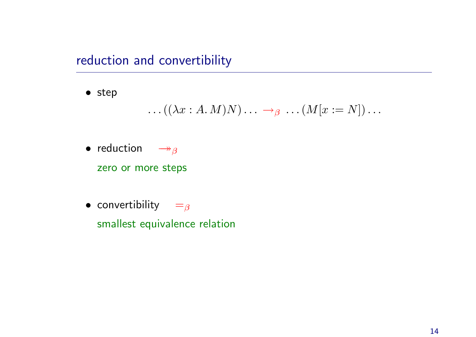reduction and convertibility

• step

$$
\dots((\lambda x:A.M)N)\dots \rightarrow_{\beta} \dots (M[x:=N])\dots
$$

 $\bullet$  reduction  $\;\;\rightarrow_{\beta}$ 

zero or more steps

 $\bullet$  convertibility  $\quad =_{\beta}$ 

smallest equivalence relation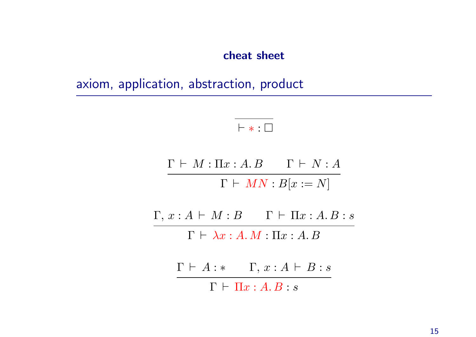cheat sheet

axiom, application, abstraction, product

 $\vdash * : \Box$ 

 $\Gamma \vdash M : \Pi x : A . B \qquad \Gamma \vdash N : A$  $\Gamma \vdash MN : B[x := N]$ 

 $\Gamma, x : A \vdash M : B \qquad \Gamma \vdash \Pi x : A.B : s$ 

 $\Gamma \vdash \lambda x : A.M : \Pi x : A.B$ 

 $\Gamma \vdash A : * \quad \Gamma, x : A \vdash B : s$ 

 $\Gamma \vdash \Pi x : A . B : s$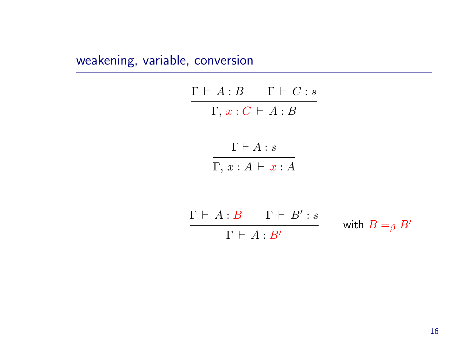# weakening, variable, conversion

| $\Gamma \vdash A : B \qquad \Gamma \vdash C : s$ |  |
|--------------------------------------------------|--|
| $\Gamma, x : C \vdash A : B$                     |  |
| $\Gamma\vdash A:s$                               |  |
| $\Gamma, x:A \vdash x:A$                         |  |
| $\Gamma \vdash A : B \quad \Gamma \vdash B' : s$ |  |

$$
\frac{\Gamma \vdash A:B \qquad \Gamma \vdash B': s}{\Gamma \vdash A:B'} \qquad \text{with } B =_\beta B'
$$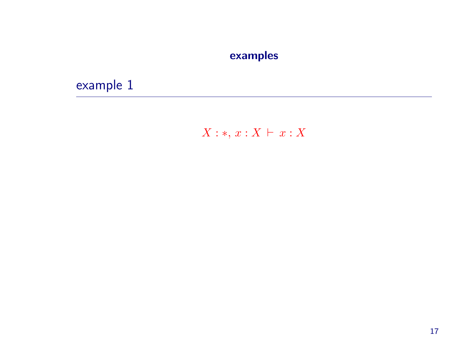## examples

example 1

# $X:*, x: X \vdash x: X$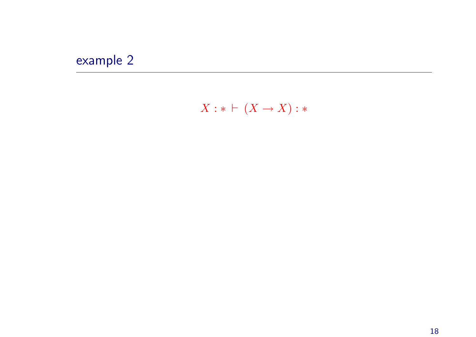# example 2

 $X: * \vdash (X \to X): *$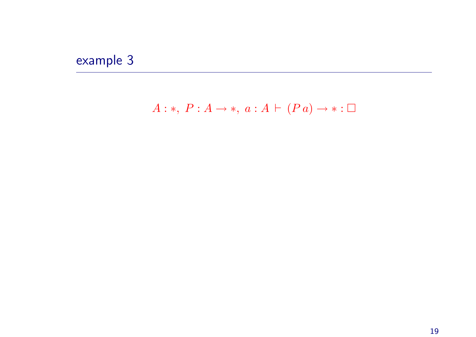# example 3

# $A:*, P: A \rightarrow *, a: A \vdash (Pa) \rightarrow * : \Box$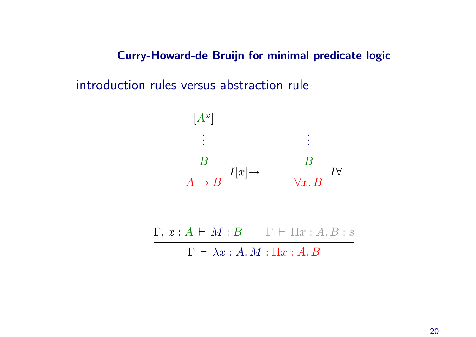Curry-Howard-de Bruijn for minimal predicate logic

introduction rules versus abstraction rule



 $\Gamma, x : A \vdash M : B \qquad \Gamma \vdash \Pi x : A. B : s$ 

 $\Gamma \vdash \lambda x : A.M : \Pi x : A.B$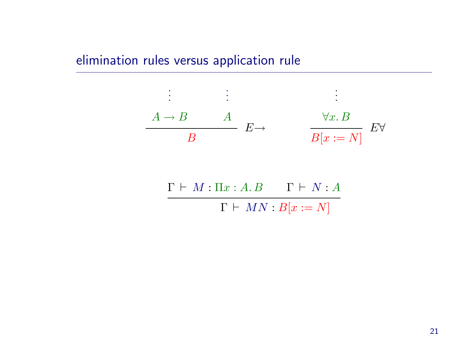# elimination rules versus application rule

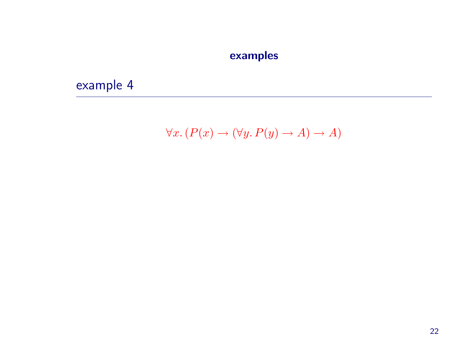## examples

example 4

$$
\forall x. (P(x) \to (\forall y. P(y) \to A) \to A)
$$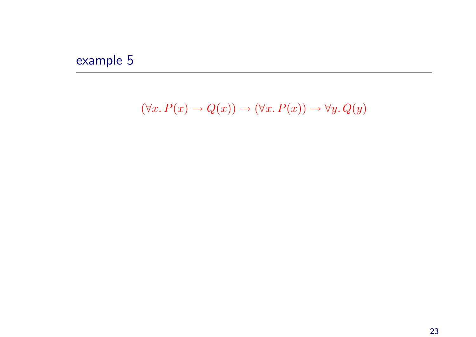# example 5

 $(\forall x. P(x) \rightarrow Q(x)) \rightarrow (\forall x. P(x)) \rightarrow \forall y. Q(y)$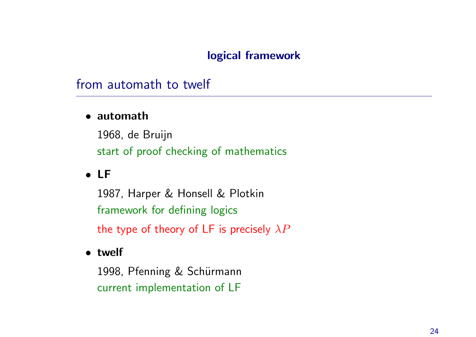#### logical framework

# from automath to twelf

#### • automath

1968, de Bruijn start of proof checking of mathematics

# • LF

1987, Harper & Honsell & Plotkin framework for defining logics the type of theory of LF is precisely  $\lambda P$ 

#### • twelf

1998, Pfenning & Schürmann current implementation of LF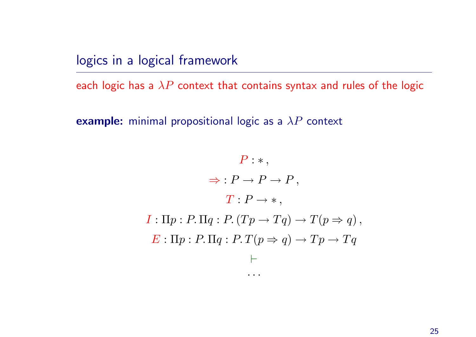logics in <sup>a</sup> logical framework

each logic has a  $\lambda P$  context that contains syntax and rules of the logic

example: minimal propositional logic as a  $\lambda P$  context

$$
P: *,
$$
  
\n
$$
\Rightarrow : P \rightarrow P \rightarrow P,
$$
  
\n
$$
T: P \rightarrow *,
$$
  
\n
$$
I: \Pi p: P. \Pi q: P. (Tp \rightarrow Tq) \rightarrow T(p \Rightarrow q),
$$
  
\n
$$
E: \Pi p: P. \Pi q: P. T(p \Rightarrow q) \rightarrow Tp \rightarrow Tq
$$
  
\n
$$
\vdots
$$

 $\bullet$  .  $\bullet$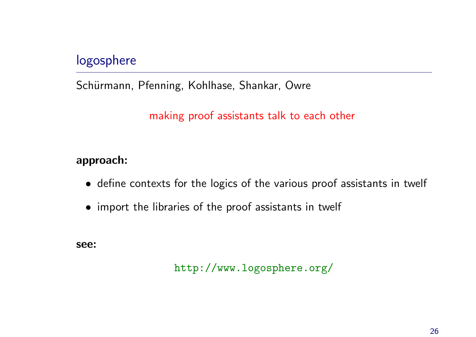# logosphere

Schürmann, Pfenning, Kohlhase, Shankar, Owre

making proof assistants talk to each other

#### approach:

- define contexts for the logics of the various proof assistants in twelf
- import the libraries of the proof assistants in twelf

see:

http://www.logosphere.org/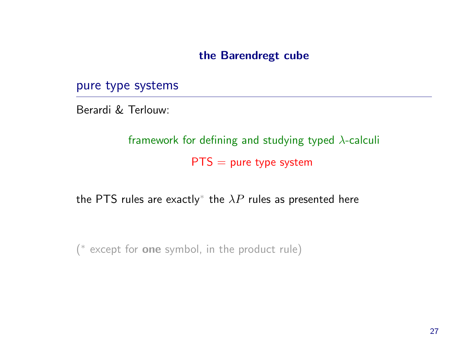#### the Barendregt cube

pure type systems

Berardi & Terlouw:

framework for defining and studying typed  $\lambda$ -calculi  $PTS = pure type system$ 

the PTS rules are exactly<sup>\*</sup> the  $\lambda P$  rules as presented here

(<sup>∗</sup> except for one symbol, in the product rule)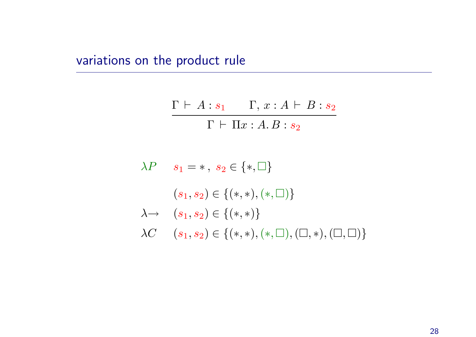variations on the product rule

$$
\frac{\Gamma \vdash A : s_1 \qquad \Gamma, x : A \vdash B : s_2}{\Gamma \vdash \Pi x : A.B : s_2}
$$

```
\lambda P s_1 = *, s_2 \in \{*, \square\}(s_1, s_2) \in \{(*, *), (*, \Box)\}\\lambda \rightarrow (s_1, s_2) \in \{(*, *)\}\lambda C \quad (s_1, s_2) \in \{(*, *), (*, \Box), (\Box, *) , (\Box, \Box) \}
```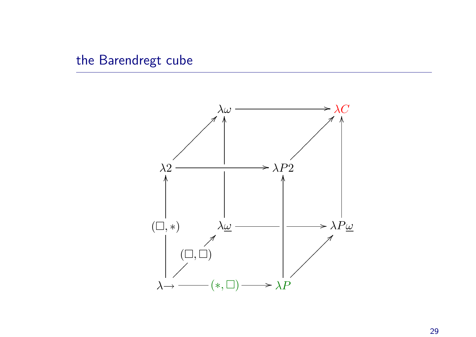# the Barendregt cube